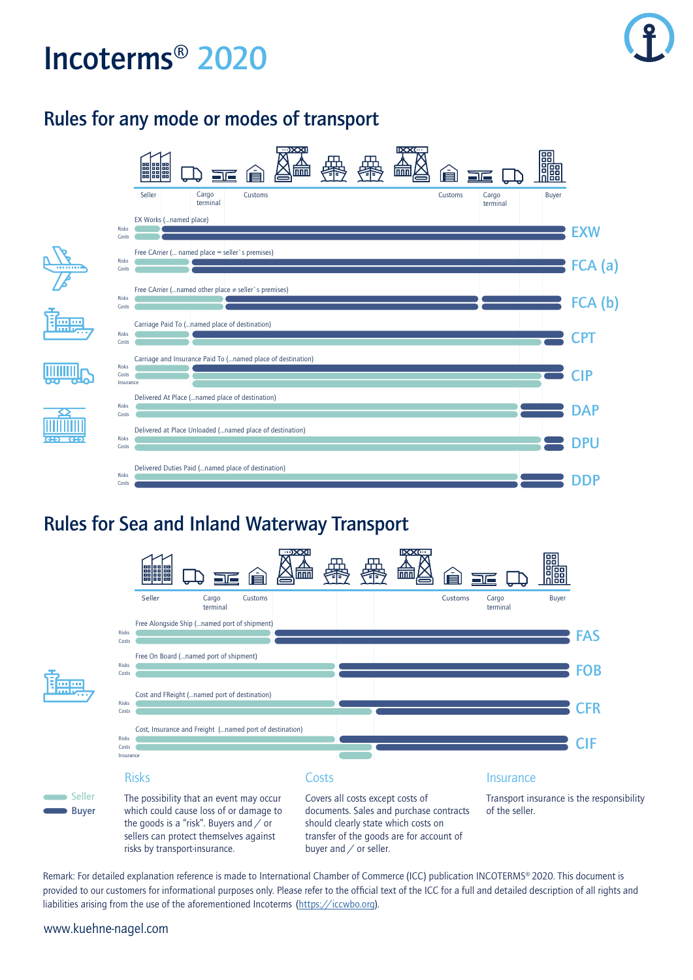# **Incoterms® 2020**

## **Rules for any mode or modes of transport**



### **Rules for Sea and Inland Waterway Transport**



Remark: For detailed explanation reference is made to International Chamber of Commerce (ICC) publication INCOTERMS® 2020. This document is provided to our customers for informational purposes only. Please refer to the official text of the ICC for a full and detailed description of all rights and liabilities arising from the use of the aforementioned Incoterms ([https://iccwbo.org\)](https://iccwbo.org).

#### www.kuehne-nagel.com